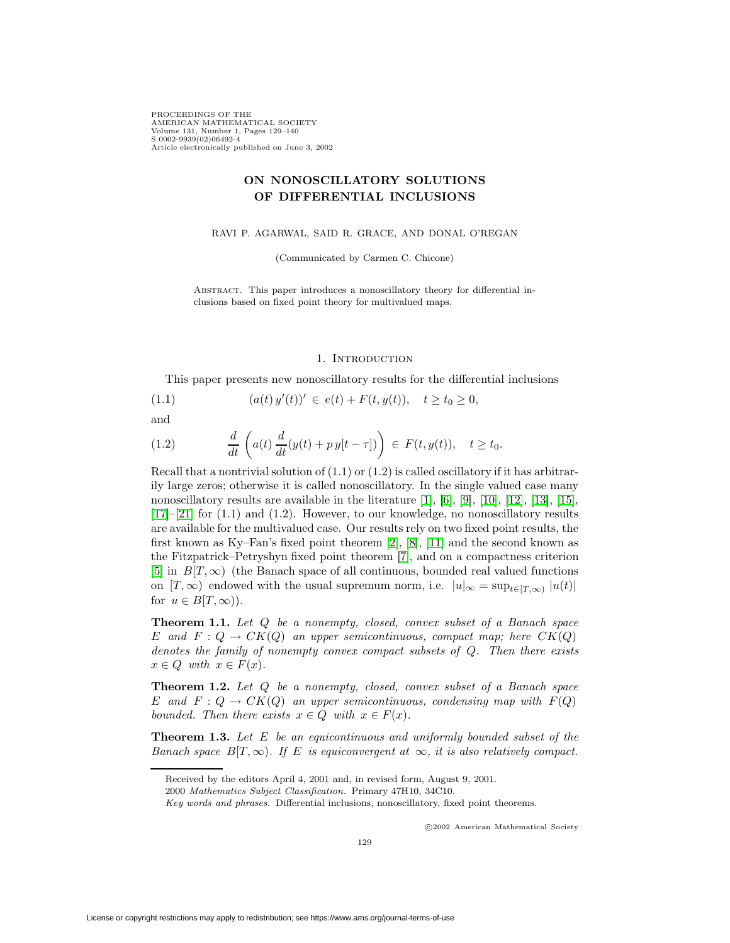PROCEEDINGS OF THE AMERICAN MATHEMATICAL SOCIETY Volume 131, Number 1, Pages 129–140 S 0002-9939(02)06492-4 Article electronically published on June 3, 2002

# **ON NONOSCILLATORY SOLUTIONS OF DIFFERENTIAL INCLUSIONS**

RAVI P. AGARWAL, SAID R. GRACE, AND DONAL O'REGAN

(Communicated by Carmen C. Chicone)

Abstract. This paper introduces a nonoscillatory theory for differential inclusions based on fixed point theory for multivalued maps.

### 1. INTRODUCTION

This paper presents new nonoscillatory results for the differential inclusions

$$
(1.1) \t(a(t) y'(t))' \in e(t) + F(t, y(t)), \t t \ge t_0 \ge 0,
$$

and

(1.2) 
$$
\frac{d}{dt}\left(a(t)\frac{d}{dt}(y(t)+p\,y[t-\tau])\right) \in F(t,y(t)), \quad t \ge t_0.
$$

Recall that a nontrivial solution of  $(1.1)$  or  $(1.2)$  is called oscillatory if it has arbitrarily large zeros; otherwise it is called nonoscillatory. In the single valued case many nonoscillatory results are available in the literature [\[1\]](#page-10-0), [\[6\]](#page-10-1), [\[9\]](#page-11-0), [\[10\]](#page-11-1), [\[12\]](#page-11-2), [\[13\]](#page-11-3), [\[15\]](#page-11-4),  $[17]-[21]$  $[17]-[21]$  $[17]-[21]$  for  $(1.1)$  and  $(1.2)$ . However, to our knowledge, no nonoscillatory results are available for the multivalued case. Our results rely on two fixed point results, the first known as Ky–Fan's fixed point theorem [\[2\]](#page-10-2), [\[8\]](#page-10-3), [\[11\]](#page-11-7) and the second known as the Fitzpatrick–Petryshyn fixed point theorem [\[7\]](#page-10-4), and on a compactness criterion [\[5\]](#page-10-5) in  $B(T, \infty)$  (the Banach space of all continuous, bounded real valued functions on  $[T, \infty)$  endowed with the usual supremum norm, i.e.  $|u|_{\infty} = \sup_{t \in [T, \infty)} |u(t)|$ for  $u \in B[T,\infty)$ ).

**Theorem 1.1.** Let Q be a nonempty, closed, convex subset of a Banach space E and  $F: Q \to CK(Q)$  an upper semicontinuous, compact map; here  $CK(Q)$ denotes the family of nonempty convex compact subsets of Q. Then there exists  $x \in Q$  with  $x \in F(x)$ .

**Theorem 1.2.** Let Q be a nonempty, closed, convex subset of a Banach space E and  $F: Q \to CK(Q)$  an upper semicontinuous, condensing map with  $F(Q)$ bounded. Then there exists  $x \in Q$  with  $x \in F(x)$ .

**Theorem 1.3.** Let E be an equicontinuous and uniformly bounded subset of the Banach space  $B[T,\infty)$ . If E is equiconvergent at  $\infty$ , it is also relatively compact.

c 2002 American Mathematical Society

Received by the editors April 4, 2001 and, in revised form, August 9, 2001.

<sup>2000</sup> Mathematics Subject Classification. Primary 47H10, 34C10.

Key words and phrases. Differential inclusions, nonoscillatory, fixed point theorems.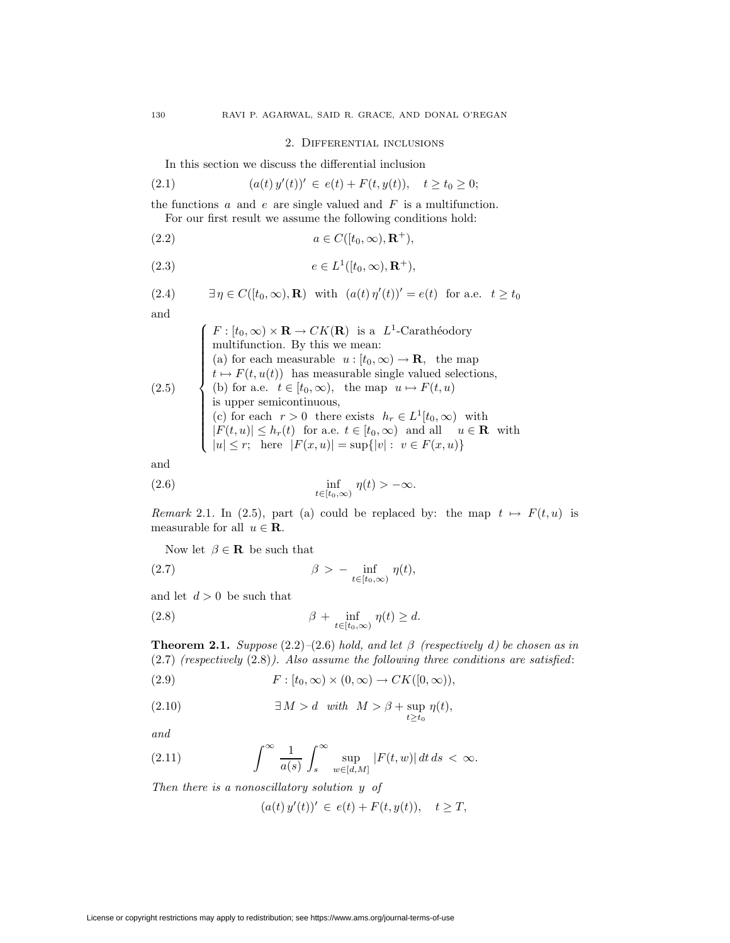### 2. Differential inclusions

In this section we discuss the differential inclusion

(2.1) 
$$
(a(t) y'(t))' \in e(t) + F(t, y(t)), \quad t \ge t_0 \ge 0;
$$

the functions  $a$  and  $e$  are single valued and  $F$  is a multifunction. For our first result we assume the following conditions hold:

(2.2) 
$$
a \in C([t_0, \infty), \mathbf{R}^+),
$$

$$
(2.3) \t\t e \in L^1([t_0, \infty), \mathbf{R}^+),
$$

(2.4) 
$$
\exists \eta \in C([t_0, \infty), \mathbf{R}) \text{ with } (a(t) \eta'(t))' = e(t) \text{ for a.e. } t \ge t_0
$$

and

$$
(2.5)
$$
\n
$$
\begin{cases}\nF : [t_0, \infty) \times \mathbf{R} \to CK(\mathbf{R}) \text{ is a } L^1\text{-Carathéodory} \\
\text{multifunction. By this we mean:} \\
(a) \text{ for each measurable } u : [t_0, \infty) \to \mathbf{R}, \text{ the map} \\
t \mapsto F(t, u(t)) \text{ has measurable single valued selections,} \\
(b) \text{ for a.e. } t \in [t_0, \infty), \text{ the map } u \mapsto F(t, u) \\
\text{is upper semicontinuous,} \\
(c) \text{ for each } r > 0 \text{ there exists } h_r \in L^1[t_0, \infty) \text{ with} \\
|F(t, u)| \le h_r(t) \text{ for a.e. } t \in [t_0, \infty) \text{ and all } u \in \mathbf{R} \text{ with} \\
|u| \le r; \text{ here } |F(x, u)| = \sup\{|v| : v \in F(x, u)\}\n\end{cases}
$$

and

(2.6) 
$$
\inf_{t \in [t_0,\infty)} \eta(t) > -\infty.
$$

Remark 2.1. In (2.5), part (a) could be replaced by: the map  $t \mapsto F(t, u)$  is measurable for all  $u \in \mathbf{R}$ .

Now let  $\beta \in \mathbf{R}$  be such that

(2.7) 
$$
\beta > - \inf_{t \in [t_0, \infty)} \eta(t),
$$

and let  $d > 0$  be such that

(2.8) 
$$
\beta + \inf_{t \in [t_0, \infty)} \eta(t) \ge d.
$$

**Theorem 2.1.** Suppose  $(2.2)$ – $(2.6)$  hold, and let  $\beta$  (respectively d) be chosen as in  $(2.7)$  (respectively  $(2.8)$ ). Also assume the following three conditions are satisfied:

(2.9) 
$$
F: [t_0, \infty) \times (0, \infty) \to CK([0, \infty)),
$$

(2.10) 
$$
\exists M > d \quad with \quad M > \beta + \sup_{t \ge t_0} \eta(t),
$$

and

(2.11) 
$$
\int^{\infty} \frac{1}{a(s)} \int_{s}^{\infty} \sup_{w \in [d,M]} |F(t,w)| dt ds < \infty.
$$

Then there is a nonoscillatory solution y of

$$
(a(t) y'(t))' \in e(t) + F(t, y(t)), \quad t \geq T,
$$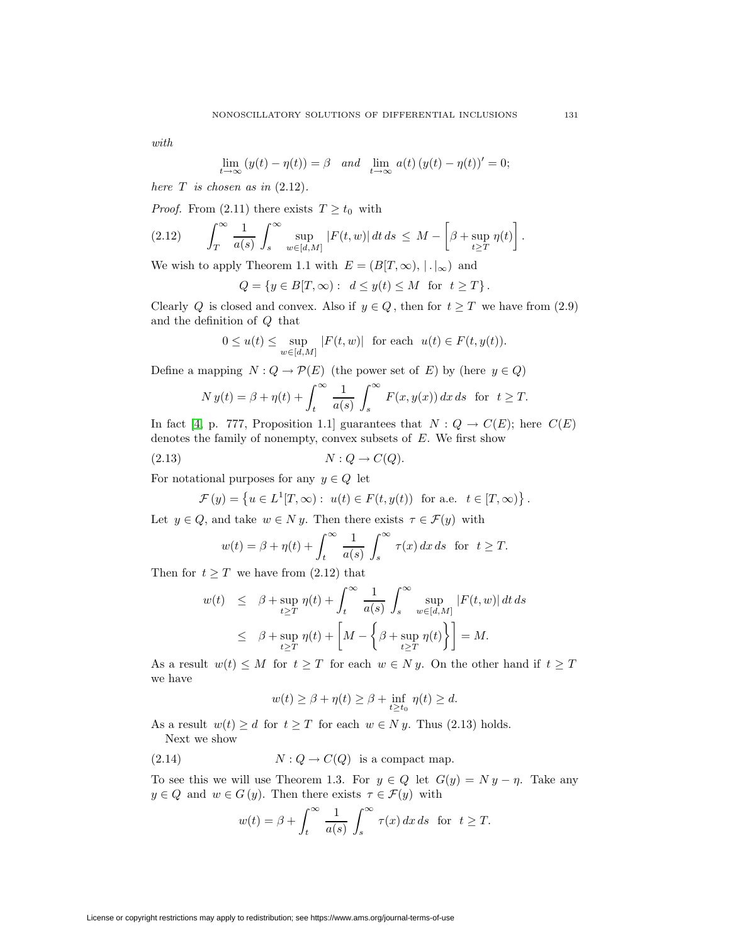with

$$
\lim_{t \to \infty} (y(t) - \eta(t)) = \beta \quad \text{and} \quad \lim_{t \to \infty} a(t) (y(t) - \eta(t))' = 0;
$$

here  $T$  is chosen as in  $(2.12)$ .

*Proof.* From (2.11) there exists  $T \ge t_0$  with

$$
(2.12) \qquad \int_T^{\infty} \frac{1}{a(s)} \int_s^{\infty} \sup_{w \in [d,M]} |F(t,w)| dt ds \leq M - \left[\beta + \sup_{t \geq T} \eta(t)\right].
$$

We wish to apply Theorem 1.1 with  $E = (B[T, \infty), |.|_{\infty})$  and

$$
Q = \{ y \in B[T, \infty) : d \le y(t) \le M \text{ for } t \ge T \}.
$$

Clearly Q is closed and convex. Also if  $y \in Q$ , then for  $t \geq T$  we have from (2.9) and the definition of Q that

$$
0 \le u(t) \le \sup_{w \in [d,M]} |F(t,w)| \text{ for each } u(t) \in F(t,y(t)).
$$

Define a mapping  $N: Q \to \mathcal{P}(E)$  (the power set of E) by (here  $y \in Q$ )

$$
N y(t) = \beta + \eta(t) + \int_t^{\infty} \frac{1}{a(s)} \int_s^{\infty} F(x, y(x)) dx ds \text{ for } t \ge T.
$$

In fact [\[4,](#page-10-6) p. 777, Proposition 1.1] guarantees that  $N: Q \to C(E)$ ; here  $C(E)$ denotes the family of nonempty, convex subsets of  $E$ . We first show

$$
(2.13) \t\t N:Q\to C(Q).
$$

For notational purposes for any  $y \in Q$  let

$$
\mathcal{F}(y) = \left\{ u \in L^1[T, \infty) : u(t) \in F(t, y(t)) \text{ for a.e. } t \in [T, \infty) \right\}.
$$

Let  $y \in Q$ , and take  $w \in N y$ . Then there exists  $\tau \in \mathcal{F}(y)$  with

$$
w(t) = \beta + \eta(t) + \int_t^{\infty} \frac{1}{a(s)} \int_s^{\infty} \tau(x) dx ds \text{ for } t \ge T.
$$

Then for  $t \geq T$  we have from (2.12) that

$$
w(t) \leq \beta + \sup_{t \geq T} \eta(t) + \int_{t}^{\infty} \frac{1}{a(s)} \int_{s}^{\infty} \sup_{w \in [d,M]} |F(t, w)| dt ds
$$
  

$$
\leq \beta + \sup_{t \geq T} \eta(t) + \left[ M - \left\{ \beta + \sup_{t \geq T} \eta(t) \right\} \right] = M.
$$

As a result  $w(t) \leq M$  for  $t \geq T$  for each  $w \in N y$ . On the other hand if  $t \geq T$ we have

$$
w(t) \ge \beta + \eta(t) \ge \beta + \inf_{t \ge t_0} \eta(t) \ge d.
$$

As a result  $w(t) \geq d$  for  $t \geq T$  for each  $w \in N y$ . Thus (2.13) holds.

Next we show

(2.14) 
$$
N:Q \to C(Q)
$$
 is a compact map.

To see this we will use Theorem 1.3. For  $y \in Q$  let  $G(y) = Ny - \eta$ . Take any  $y \in Q$  and  $w \in G(y)$ . Then there exists  $\tau \in \mathcal{F}(y)$  with

$$
w(t) = \beta + \int_t^{\infty} \frac{1}{a(s)} \int_s^{\infty} \tau(x) dx ds \text{ for } t \ge T.
$$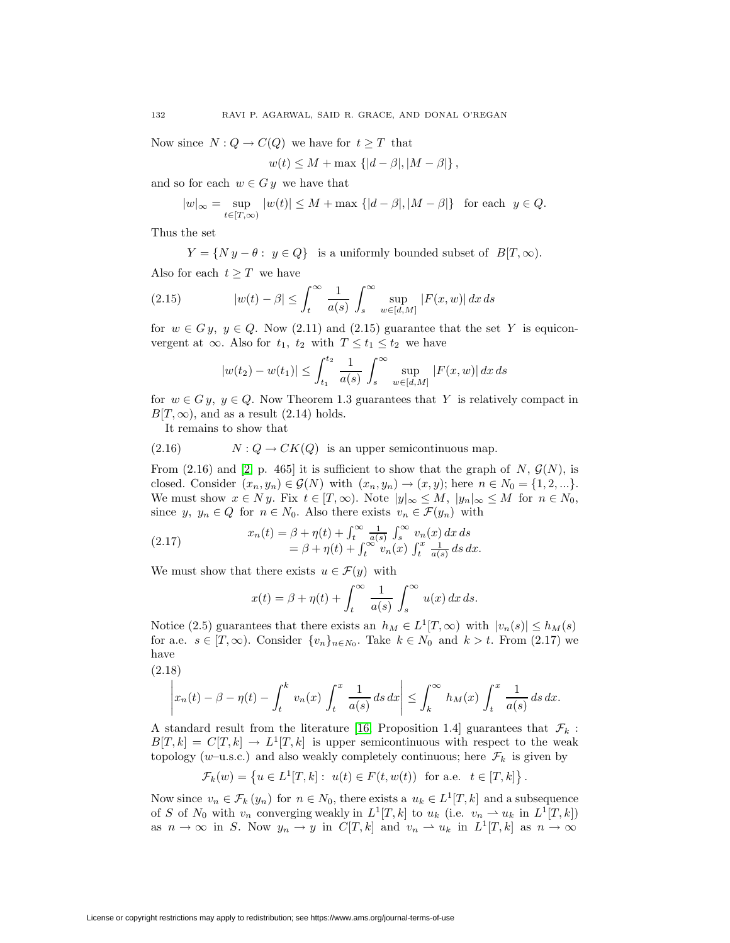Now since  $N: Q \to C(Q)$  we have for  $t \geq T$  that

$$
w(t) \leq M + \max \left\{ |d - \beta|, |M - \beta| \right\},\
$$

and so for each  $w \in G y$  we have that

$$
|w|_{\infty} = \sup_{t \in [T,\infty)} |w(t)| \le M + \max\left\{|d-\beta|, |M-\beta|\right\} \text{ for each } y \in Q.
$$

Thus the set

 $Y = \{Ny - \theta : y \in Q\}$  is a uniformly bounded subset of  $B[T, \infty)$ .

Also for each  $t > T$  we have

(2.15) 
$$
|w(t) - \beta| \leq \int_t^{\infty} \frac{1}{a(s)} \int_s^{\infty} \sup_{w \in [d,M]} |F(x, w)| dx ds
$$

for  $w \in G_y$ ,  $y \in Q$ . Now (2.11) and (2.15) guarantee that the set Y is equiconvergent at  $\infty$ . Also for  $t_1$ ,  $t_2$  with  $T \le t_1 \le t_2$  we have

$$
|w(t_2) - w(t_1)| \le \int_{t_1}^{t_2} \frac{1}{a(s)} \int_s^{\infty} \sup_{w \in [d,M]} |F(x,w)| dx ds
$$

for  $w \in G y$ ,  $y \in Q$ . Now Theorem 1.3 guarantees that Y is relatively compact in  $B[T,\infty)$ , and as a result (2.14) holds.

It remains to show that

 $(2.16)$   $N: Q \to CK(Q)$  is an upper semicontinuous map.

From (2.16) and [\[2,](#page-10-2) p. 465] it is sufficient to show that the graph of N,  $\mathcal{G}(N)$ , is closed. Consider  $(x_n, y_n) \in \mathcal{G}(N)$  with  $(x_n, y_n) \to (x, y)$ ; here  $n \in N_0 = \{1, 2, ...\}$ . We must show  $x \in N y$ . Fix  $t \in [T, \infty)$ . Note  $|y|_{\infty} \leq M$ ,  $|y_n|_{\infty} \leq M$  for  $n \in N_0$ , since y,  $y_n \in Q$  for  $n \in N_0$ . Also there exists  $v_n \in \mathcal{F}(y_n)$  with

(2.17) 
$$
x_n(t) = \beta + \eta(t) + \int_t^{\infty} \frac{1}{a(s)} \int_s^{\infty} v_n(x) dx ds
$$

$$
= \beta + \eta(t) + \int_t^{\infty} v_n(x) \int_t^x \frac{1}{a(s)} ds dx.
$$

We must show that there exists  $u \in \mathcal{F}(y)$  with

$$
x(t) = \beta + \eta(t) + \int_t^{\infty} \frac{1}{a(s)} \int_s^{\infty} u(x) dx ds.
$$

Notice (2.5) guarantees that there exists an  $h_M \in L^1[T,\infty)$  with  $|v_n(s)| \leq h_M(s)$ for a.e.  $s \in [T, \infty)$ . Consider  $\{v_n\}_{n \in N_0}$ . Take  $k \in N_0$  and  $k > t$ . From (2.17) we have

(2.18)

$$
\left| x_n(t) - \beta - \eta(t) - \int_t^k v_n(x) \int_t^x \frac{1}{a(s)} ds dx \right| \leq \int_k^\infty h_M(x) \int_t^x \frac{1}{a(s)} ds dx.
$$

A standard result from the literature [\[16,](#page-11-8) Proposition 1.4] guarantees that  $\mathcal{F}_k$ :  $B[T,k] = C[T,k] \rightarrow L^{1}[T,k]$  is upper semicontinuous with respect to the weak topology (w–u.s.c.) and also weakly completely continuous; here  $\mathcal{F}_k$  is given by

$$
\mathcal{F}_k(w) = \left\{ u \in L^1[T, k] : \ u(t) \in F(t, w(t)) \text{ for a.e. } t \in [T, k] \right\}.
$$

Now since  $v_n \in \mathcal{F}_k(y_n)$  for  $n \in N_0$ , there exists a  $u_k \in L^1[T, k]$  and a subsequence of S of  $N_0$  with  $v_n$  converging weakly in  $L^1[T,k]$  to  $u_k$  (i.e.  $v_n \to u_k$  in  $L^1[T,k]$ ) as  $n \to \infty$  in S. Now  $y_n \to y$  in  $C[T, k]$  and  $v_n \to u_k$  in  $L^1[T, k]$  as  $n \to \infty$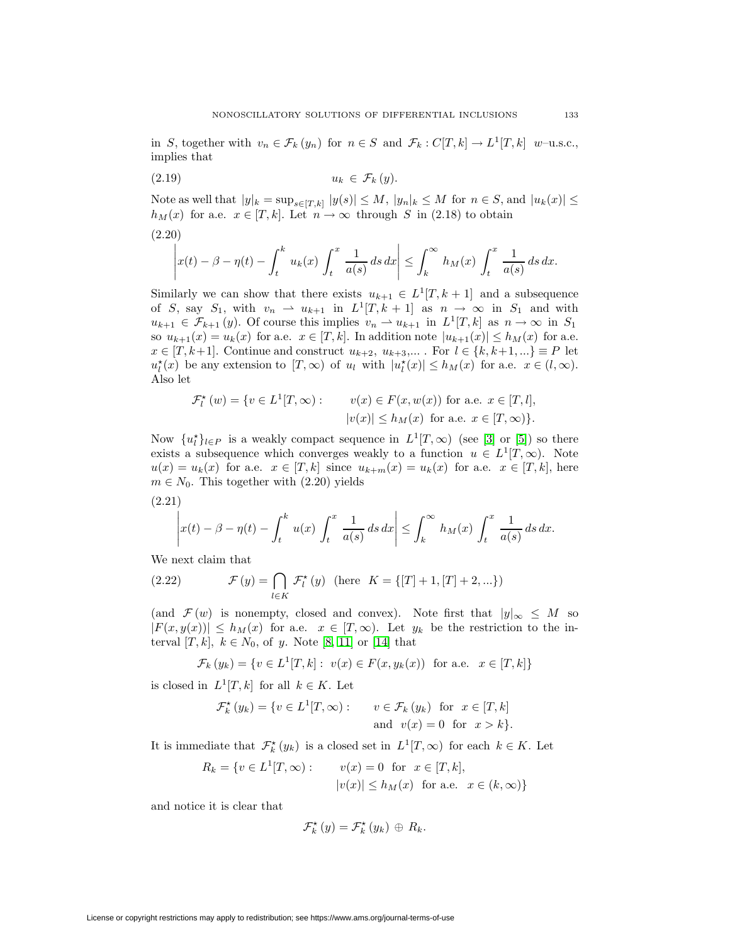in S, together with  $v_n \in \mathcal{F}_k(y_n)$  for  $n \in S$  and  $\mathcal{F}_k : C[T, k] \to L^1[T, k]$  w-u.s.c., implies that

$$
(2.19) \t\t u_k \in \mathcal{F}_k(y).
$$

Note as well that  $|y|_k = \sup_{s \in [T,k]} |y(s)| \leq M, |y_n|_k \leq M$  for  $n \in S$ , and  $|u_k(x)| \leq$  $h_M(x)$  for a.e.  $x \in [T, k]$ . Let  $n \to \infty$  through S in (2.18) to obtain (2.20)

$$
\left| x(t) - \beta - \eta(t) - \int_t^k u_k(x) \int_t^x \frac{1}{a(s)} ds dx \right| \leq \int_k^\infty h_M(x) \int_t^x \frac{1}{a(s)} ds dx.
$$

Similarly we can show that there exists  $u_{k+1} \in L^1[T, k+1]$  and a subsequence of S, say  $S_1$ , with  $v_n \rightharpoonup u_{k+1}$  in  $L^1[T, k+1]$  as  $n \to \infty$  in  $S_1$  and with  $u_{k+1} \in \mathcal{F}_{k+1}(y)$ . Of course this implies  $v_n \rightharpoonup u_{k+1}$  in  $L^1[T, k]$  as  $n \to \infty$  in  $S_1$ so  $u_{k+1}(x) = u_k(x)$  for a.e.  $x \in [T, k]$ . In addition note  $|u_{k+1}(x)| \leq h_M(x)$  for a.e.  $x \in [T, k+1]$ . Continue and construct  $u_{k+2}, u_{k+3}, \ldots$ . For  $l \in \{k, k+1, \ldots\} \equiv P$  let  $u_l^*(x)$  be any extension to  $[T, \infty)$  of  $u_l$  with  $|u_l^*(x)| \le h_M(x)$  for a.e.  $x \in (l, \infty)$ . Also let

$$
\mathcal{F}_l^{\star}(w) = \{ v \in L^1[T, \infty) : \quad v(x) \in F(x, w(x)) \text{ for a.e. } x \in [T, l],
$$
  

$$
|v(x)| \le h_M(x) \text{ for a.e. } x \in [T, \infty) \}.
$$

Now  $\{u_l^*\}_{l\in P}$  is a weakly compact sequence in  $L^1[T,\infty)$  (see [\[3\]](#page-10-7) or [\[5\]](#page-10-5)) so there exists a subsequence which converges weakly to a function  $u \in L^1[T,\infty)$ . Note  $u(x) = u_k(x)$  for a.e.  $x \in [T, k]$  since  $u_{k+m}(x) = u_k(x)$  for a.e.  $x \in [T, k]$ , here  $m \in N_0$ . This together with  $(2.20)$  yields

(2.21)

$$
\left| x(t) - \beta - \eta(t) - \int_t^k u(x) \int_t^x \frac{1}{a(s)} ds dx \right| \leq \int_k^\infty h_M(x) \int_t^x \frac{1}{a(s)} ds dx.
$$

We next claim that

(2.22) 
$$
\mathcal{F}(y) = \bigcap_{l \in K} \mathcal{F}_l^{\star}(y) \text{ (here } K = \{[T] + 1, [T] + 2, ...\})
$$

(and  $\mathcal{F}(w)$  is nonempty, closed and convex). Note first that  $|y|_{\infty} \leq M$  so  $|F(x,y(x))| \leq h_M(x)$  for a.e.  $x \in [T,\infty)$ . Let  $y_k$  be the restriction to the interval [T, k],  $k \in N_0$ , of y. Note [\[8,](#page-10-3) [11\]](#page-11-7) or [\[14\]](#page-11-9) that

$$
\mathcal{F}_k(y_k) = \{ v \in L^1[T, k] : v(x) \in F(x, y_k(x)) \text{ for a.e. } x \in [T, k] \}
$$

is closed in  $L^1[T, k]$  for all  $k \in K$ . Let

$$
\mathcal{F}_k^{\star}(y_k) = \{ v \in L^1[T, \infty) : \quad v \in \mathcal{F}_k(y_k) \text{ for } x \in [T, k] \}
$$
  
and 
$$
v(x) = 0 \text{ for } x > k \}.
$$

It is immediate that  $\mathcal{F}_k^{\star}(y_k)$  is a closed set in  $L^1[T,\infty)$  for each  $k \in K$ . Let

$$
R_k = \{ v \in L^1[T, \infty) : \quad v(x) = 0 \text{ for } x \in [T, k],
$$

$$
|v(x)| \le h_M(x) \text{ for a.e. } x \in (k, \infty) \}
$$

and notice it is clear that

$$
\mathcal{F}_{k}^{\star}(y)=\mathcal{F}_{k}^{\star}(y_{k})\,\oplus\,R_{k}.
$$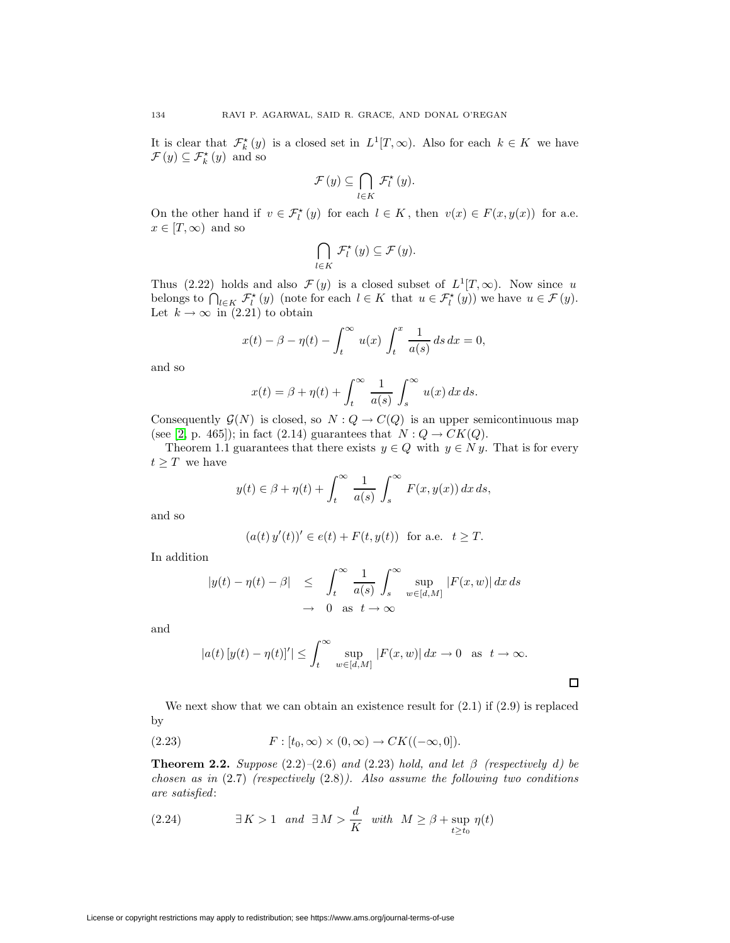It is clear that  $\mathcal{F}_k^*(y)$  is a closed set in  $L^1[T,\infty)$ . Also for each  $k \in K$  we have  $\mathcal{F}(y) \subseteq \mathcal{F}_k^{\star}(y)$  and so

$$
\mathcal{F}\left(y\right)\subseteq\bigcap_{l\in K}\,\mathcal{F}_{l}^{\star}\left(y\right).
$$

On the other hand if  $v \in \mathcal{F}_l^{\star}(y)$  for each  $l \in K$ , then  $v(x) \in F(x, y(x))$  for a.e.  $x \in [T, \infty)$  and so

$$
\bigcap_{l\in K} \mathcal{F}_{l}^{\star}(y) \subseteq \mathcal{F}(y).
$$

Thus (2.22) holds and also  $\mathcal{F}(y)$  is a closed subset of  $L^1[T,\infty)$ . Now since u belongs to  $\bigcap_{l \in K} \mathcal{F}_l^*(y)$  (note for each  $l \in K$  that  $u \in \mathcal{F}_l^*(y)$ ) we have  $u \in \mathcal{F}(y)$ . Let  $k \to \infty$  in (2.21) to obtain

$$
x(t) - \beta - \eta(t) - \int_t^\infty u(x) \int_t^x \frac{1}{a(s)} ds dx = 0,
$$

and so

$$
x(t) = \beta + \eta(t) + \int_t^{\infty} \frac{1}{a(s)} \int_s^{\infty} u(x) dx ds.
$$

Consequently  $\mathcal{G}(N)$  is closed, so  $N: Q \to C(Q)$  is an upper semicontinuous map (see [\[2,](#page-10-2) p. 465]); in fact (2.14) guarantees that  $N: Q \to CK(Q)$ .

Theorem 1.1 guarantees that there exists  $y \in Q$  with  $y \in N y$ . That is for every  $t\geq T\,$  we have

$$
y(t) \in \beta + \eta(t) + \int_t^{\infty} \frac{1}{a(s)} \int_s^{\infty} F(x, y(x)) dx ds,
$$

and so

$$
(a(t) y'(t))' \in e(t) + F(t, y(t))
$$
 for a.e.  $t \geq T$ .

In addition

$$
|y(t) - \eta(t) - \beta| \le \int_t^\infty \frac{1}{a(s)} \int_s^\infty \sup_{w \in [d,M]} |F(x, w)| dx ds
$$
  

$$
\to 0 \text{ as } t \to \infty
$$

and

$$
|a(t) [y(t) - \eta(t)]'| \le \int_t^\infty \sup_{w \in [d,M]} |F(x, w)| dx \to 0 \text{ as } t \to \infty.
$$

 $\Box$ 

We next show that we can obtain an existence result for  $(2.1)$  if  $(2.9)$  is replaced by

(2.23) 
$$
F: [t_0, \infty) \times (0, \infty) \to CK((-\infty, 0]).
$$

**Theorem 2.2.** Suppose  $(2.2)$ – $(2.6)$  and  $(2.23)$  hold, and let  $\beta$  (respectively d) be chosen as in  $(2.7)$  (respectively  $(2.8)$ ). Also assume the following two conditions are satisfied:

(2.24) 
$$
\exists K > 1 \text{ and } \exists M > \frac{d}{K} \text{ with } M \ge \beta + \sup_{t \ge t_0} \eta(t)
$$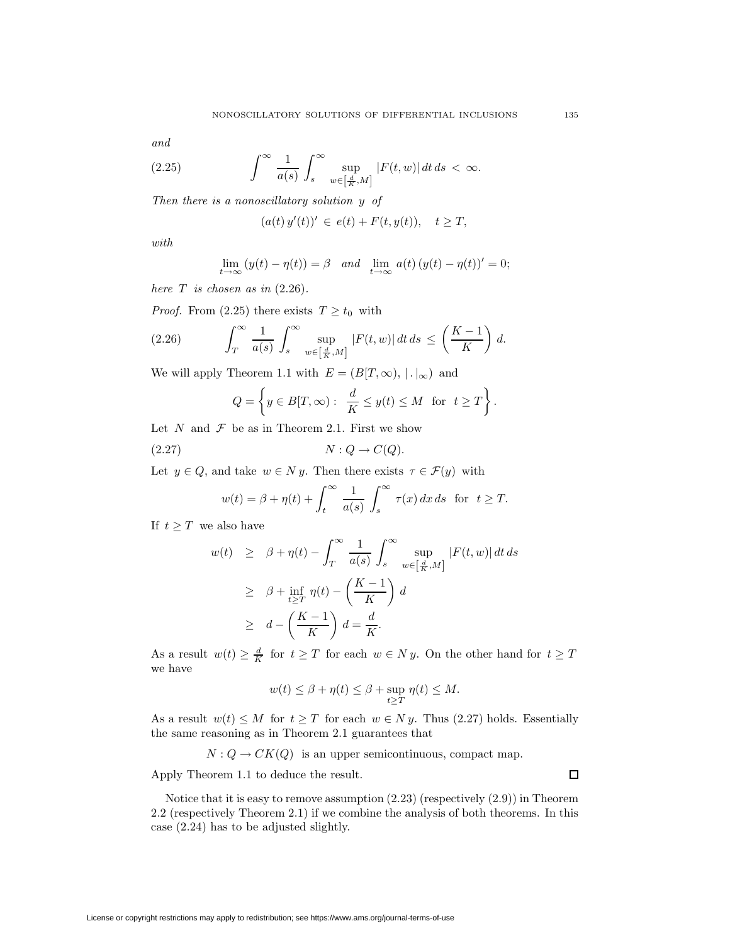and

(2.25) 
$$
\int_{-\infty}^{\infty} \frac{1}{a(s)} \int_{s}^{\infty} \sup_{w \in \left[\frac{d}{K}, M\right]} |F(t, w)| dt ds < \infty.
$$

Then there is a nonoscillatory solution y of

$$
(a(t) y'(t))' \in e(t) + F(t, y(t)), \quad t \ge T,
$$

with

$$
\lim_{t \to \infty} (y(t) - \eta(t)) = \beta \quad and \quad \lim_{t \to \infty} a(t) (y(t) - \eta(t))' = 0;
$$

here  $T$  is chosen as in  $(2.26)$ .

*Proof.* From (2.25) there exists  $T \ge t_0$  with

(2.26) 
$$
\int_T^{\infty} \frac{1}{a(s)} \int_s^{\infty} \sup_{w \in \left[\frac{d}{K}, M\right]} |F(t, w)| dt ds \le \left(\frac{K - 1}{K}\right) d.
$$

We will apply Theorem 1.1 with  $E = (B[T, \infty), | \cdot |_{\infty})$  and

$$
Q = \left\{ y \in B[T, \infty) : \begin{array}{l} \frac{d}{K} \le y(t) \le M \ \ \text{for} \ \ t \ge T \end{array} \right\}
$$

Let  $N$  and  $\mathcal F$  be as in Theorem 2.1. First we show

$$
(2.27) \t\t\t N:Q\to C(Q).
$$

Let  $y \in Q$ , and take  $w \in N y$ . Then there exists  $\tau \in \mathcal{F}(y)$  with

$$
w(t) = \beta + \eta(t) + \int_t^{\infty} \frac{1}{a(s)} \int_s^{\infty} \tau(x) dx ds \text{ for } t \ge T.
$$

If  $t \geq T$  we also have

$$
w(t) \geq \beta + \eta(t) - \int_{T}^{\infty} \frac{1}{a(s)} \int_{s}^{\infty} \sup_{w \in \left[\frac{d}{K}, M\right]} |F(t, w)| dt ds
$$
  
\n
$$
\geq \beta + \inf_{t \geq T} \eta(t) - \left(\frac{K - 1}{K}\right) d
$$
  
\n
$$
\geq d - \left(\frac{K - 1}{K}\right) d = \frac{d}{K}.
$$

As a result  $w(t) \geq \frac{d}{K}$  for  $t \geq T$  for each  $w \in N y$ . On the other hand for  $t \geq T$ we have

$$
w(t) \le \beta + \eta(t) \le \beta + \sup_{t \ge T} \eta(t) \le M.
$$

As a result  $w(t) \leq M$  for  $t \geq T$  for each  $w \in N y$ . Thus (2.27) holds. Essentially the same reasoning as in Theorem 2.1 guarantees that

$$
N: Q \to CK(Q)
$$
 is an upper semicontinuous, compact map.

Apply Theorem 1.1 to deduce the result.

 $\Box$ 

Notice that it is easy to remove assumption (2.23) (respectively (2.9)) in Theorem 2.2 (respectively Theorem 2.1) if we combine the analysis of both theorems. In this case (2.24) has to be adjusted slightly.

.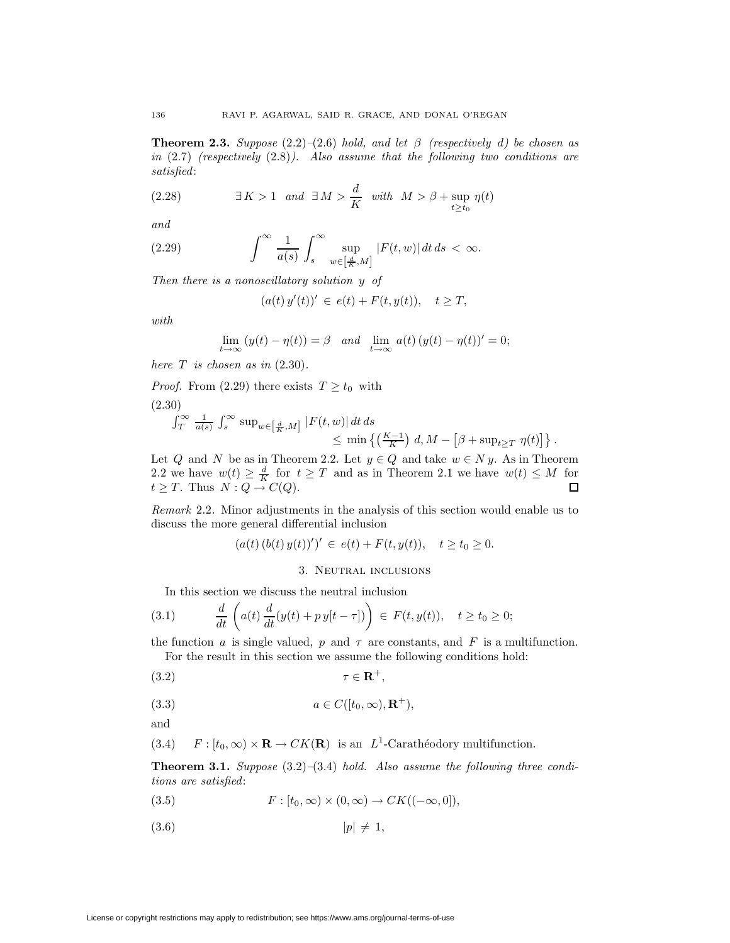**Theorem 2.3.** Suppose  $(2.2)$ – $(2.6)$  hold, and let  $\beta$  (respectively d) be chosen as in  $(2.7)$  (respectively  $(2.8)$ ). Also assume that the following two conditions are satisfied:

(2.28) 
$$
\exists K > 1 \text{ and } \exists M > \frac{d}{K} \text{ with } M > \beta + \sup_{t \ge t_0} \eta(t)
$$

and

(2.29) 
$$
\int^{\infty} \frac{1}{a(s)} \int_{s}^{\infty} \sup_{w \in \left[\frac{d}{K}, M\right]} |F(t, w)| dt ds < \infty.
$$

Then there is a nonoscillatory solution y of

$$
(a(t) y'(t))' \in e(t) + F(t, y(t)), \quad t \geq T,
$$

with

$$
\lim_{t \to \infty} (y(t) - \eta(t)) = \beta \quad and \quad \lim_{t \to \infty} a(t) (y(t) - \eta(t))' = 0;
$$

here  $T$  is chosen as in  $(2.30)$ .

*Proof.* From (2.29) there exists  $T \ge t_0$  with

(2.30)

$$
\int_T^{\infty} \frac{1}{a(s)} \int_s^{\infty} \sup_{w \in \left[\frac{d}{K}, M\right]} |F(t, w)| dt ds
$$
  
\n
$$
\leq \min \left\{ \left(\frac{K-1}{K}\right) d, M - \left[\beta + \sup_{t \geq T} \eta(t)\right] \right\}.
$$

Let Q and N be as in Theorem 2.2. Let  $y \in Q$  and take  $w \in N y$ . As in Theorem 2.2 we have  $w(t) \geq \frac{d}{K}$  for  $t \geq T$  and as in Theorem 2.1 we have  $w(t) \leq M$  for  $t \geq T$ . Thus  $N: Q \to C(Q)$ .

Remark 2.2. Minor adjustments in the analysis of this section would enable us to discuss the more general differential inclusion

$$
(a(t) (b(t) y(t))')' \in e(t) + F(t, y(t)), \quad t \ge t_0 \ge 0.
$$

## 3. Neutral inclusions

In this section we discuss the neutral inclusion

(3.1) 
$$
\frac{d}{dt}\left(a(t)\frac{d}{dt}(y(t)+py[t-\tau])\right) \in F(t,y(t)), \quad t \ge t_0 \ge 0;
$$

the function a is single valued, p and  $\tau$  are constants, and F is a multifunction. For the result in this section we assume the following conditions hold:

$$
(3.2) \t\t \tau \in \mathbf{R}^+,
$$

$$
(3.3) \t\t a \in C([t_0, \infty), \mathbf{R}^+),
$$

and

(3.4) 
$$
F: [t_0, \infty) \times \mathbf{R} \to CK(\mathbf{R})
$$
 is an  $L^1$ -Carathéodory multiplication.

**Theorem 3.1.** Suppose  $(3.2)$ – $(3.4)$  hold. Also assume the following three conditions are satisfied:

(3.5) 
$$
F: [t_0, \infty) \times (0, \infty) \to CK((-\infty, 0]),
$$

$$
(3.6) \t\t\t |p| \neq 1,
$$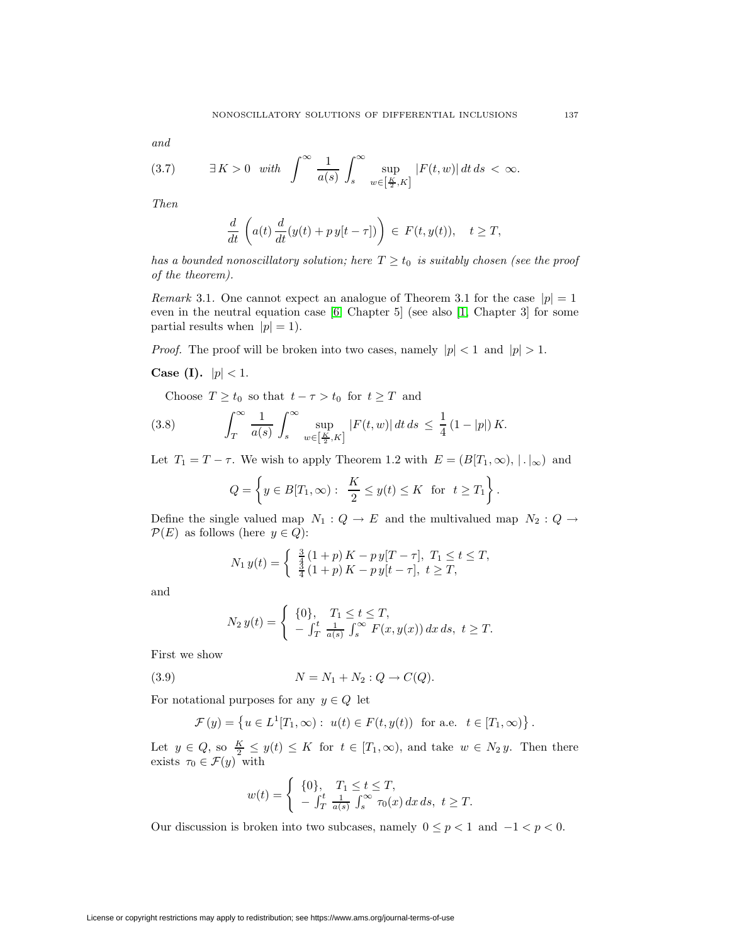and

$$
(3.7) \qquad \exists K > 0 \quad \text{with} \quad \int_{-\infty}^{\infty} \frac{1}{a(s)} \int_{s}^{\infty} \sup_{w \in \left[\frac{K}{2}, K\right]} |F(t, w)| \, dt \, ds < \infty.
$$

Then

$$
\frac{d}{dt}\left(a(t)\frac{d}{dt}(y(t)+py[t-\tau])\right) \in F(t,y(t)), \quad t \geq T,
$$

has a bounded nonoscillatory solution; here  $T \ge t_0$  is suitably chosen (see the proof of the theorem).

*Remark* 3.1. One cannot expect an analogue of Theorem 3.1 for the case  $|p|=1$ even in the neutral equation case [\[6,](#page-10-1) Chapter 5] (see also [\[1,](#page-10-0) Chapter 3] for some partial results when  $|p| = 1$ .

*Proof.* The proof will be broken into two cases, namely  $|p| < 1$  and  $|p| > 1$ .

**Case (I).**  $|p| < 1$ .

Choose  $T \ge t_0$  so that  $t - \tau > t_0$  for  $t \ge T$  and

(3.8) 
$$
\int_{T}^{\infty} \frac{1}{a(s)} \int_{s}^{\infty} \sup_{w \in \left[\frac{K}{2}, K\right]} |F(t, w)| dt ds \leq \frac{1}{4} (1 - |p|) K.
$$

Let  $T_1 = T - \tau$ . We wish to apply Theorem 1.2 with  $E = (B[T_1, \infty), \mid \cdot \mid_{\infty})$  and

$$
Q = \left\{ y \in B[T_1, \infty) : \frac{K}{2} \le y(t) \le K \text{ for } t \ge T_1 \right\}.
$$

Define the single valued map  $N_1: Q \to E$  and the multivalued map  $N_2: Q \to$  $\mathcal{P}(E)$  as follows (here  $y \in Q$ ):

$$
N_1 y(t) = \begin{cases} \frac{3}{4} (1+p) K - p y [T - \tau], T_1 \le t \le T, \\ \frac{3}{4} (1+p) K - p y [t - \tau], t \ge T, \end{cases}
$$

and

$$
N_2 y(t) = \begin{cases} \{0\}, & T_1 \le t \le T, \\ -\int_T^t \frac{1}{a(s)} \int_s^\infty F(x, y(x)) dx ds, & t \ge T. \end{cases}
$$

First we show

(3.9) 
$$
N = N_1 + N_2 : Q \to C(Q).
$$

For notational purposes for any  $y \in Q$  let

$$
\mathcal{F}(y) = \left\{ u \in L^1[T_1, \infty) : u(t) \in F(t, y(t)) \text{ for a.e. } t \in [T_1, \infty) \right\}.
$$

Let  $y \in Q$ , so  $\frac{K}{2} \leq y(t) \leq K$  for  $t \in [T_1, \infty)$ , and take  $w \in N_2 y$ . Then there exists  $\tau_0 \in \mathcal{F}(y)$  with

$$
w(t) = \begin{cases} \n\{0\}, & T_1 \le t \le T, \\ \n-f_T^t \frac{1}{a(s)} \int_s^\infty \tau_0(x) \, dx \, ds, \ t \ge T. \n\end{cases}
$$

Our discussion is broken into two subcases, namely  $0 \leq p < 1$  and  $-1 < p < 0$ .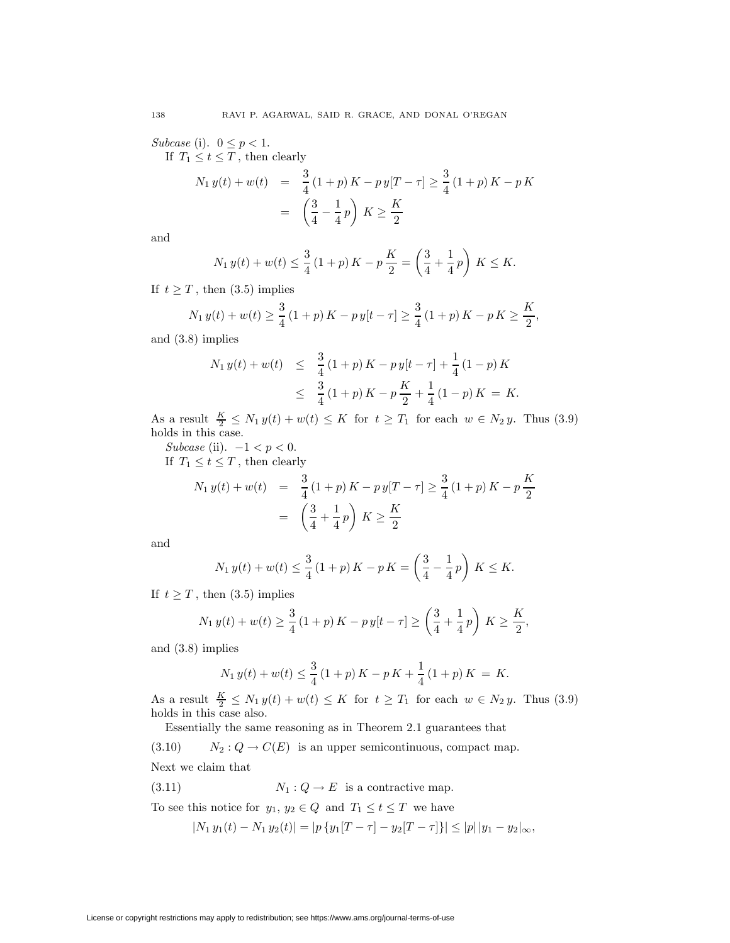Subcase (i).  $0 \leq p < 1$ .

If  $T_1 \le t \le T$ , then clearly

$$
N_1 y(t) + w(t) = \frac{3}{4} (1+p) K - py[T - \tau] \ge \frac{3}{4} (1+p) K - pK
$$

$$
= \left(\frac{3}{4} - \frac{1}{4}p\right) K \ge \frac{K}{2}
$$

and

$$
N_1 y(t) + w(t) \le \frac{3}{4} (1+p) K - p \frac{K}{2} = \left(\frac{3}{4} + \frac{1}{4}p\right) K \le K.
$$

If  $t \geq T$ , then (3.5) implies

$$
N_1 y(t) + w(t) \ge \frac{3}{4} (1+p) K - p y[t - \tau] \ge \frac{3}{4} (1+p) K - p K \ge \frac{K}{2},
$$

and (3.8) implies

$$
N_1 y(t) + w(t) \leq \frac{3}{4} (1+p) K - p y[t - \tau] + \frac{1}{4} (1-p) K
$$
  
 
$$
\leq \frac{3}{4} (1+p) K - p \frac{K}{2} + \frac{1}{4} (1-p) K = K.
$$

As a result  $\frac{K}{2} \le N_1 y(t) + w(t) \le K$  for  $t \ge T_1$  for each  $w \in N_2 y$ . Thus (3.9) holds in this case.

Subcase (ii).  $-1 < p < 0$ .

If  $\, T_1 \leq t \leq T \, ,$  then clearly

$$
N_1 y(t) + w(t) = \frac{3}{4} (1+p) K - py[T - \tau] \ge \frac{3}{4} (1+p) K - p\frac{K}{2}
$$
  
=  $\left(\frac{3}{4} + \frac{1}{4}p\right) K \ge \frac{K}{2}$ 

and

$$
N_1 y(t) + w(t) \le \frac{3}{4} (1+p) K - p K = \left(\frac{3}{4} - \frac{1}{4}p\right) K \le K.
$$

If  $t \geq T$ , then (3.5) implies

$$
N_1 y(t) + w(t) \ge \frac{3}{4} (1+p) K - p y[t - \tau] \ge \left(\frac{3}{4} + \frac{1}{4}p\right) K \ge \frac{K}{2},
$$

and (3.8) implies

$$
N_1 y(t) + w(t) \le \frac{3}{4} (1+p) K - p K + \frac{1}{4} (1+p) K = K.
$$

As a result  $\frac{K}{2} \le N_1 y(t) + w(t) \le K$  for  $t \ge T_1$  for each  $w \in N_2 y$ . Thus (3.9) holds in this case also.

Essentially the same reasoning as in Theorem 2.1 guarantees that

(3.10)  $N_2 : Q \to C(E)$  is an upper semicontinuous, compact map.

Next we claim that

(3.11) 
$$
N_1: Q \to E
$$
 is a contractive map.

To see this notice for  $y_1, y_2 \in Q$  and  $T_1 \le t \le T$  we have

$$
|N_1 y_1(t) - N_1 y_2(t)| = |p \{y_1[T - \tau] - y_2[T - \tau] \}| \le |p| |y_1 - y_2|_{\infty},
$$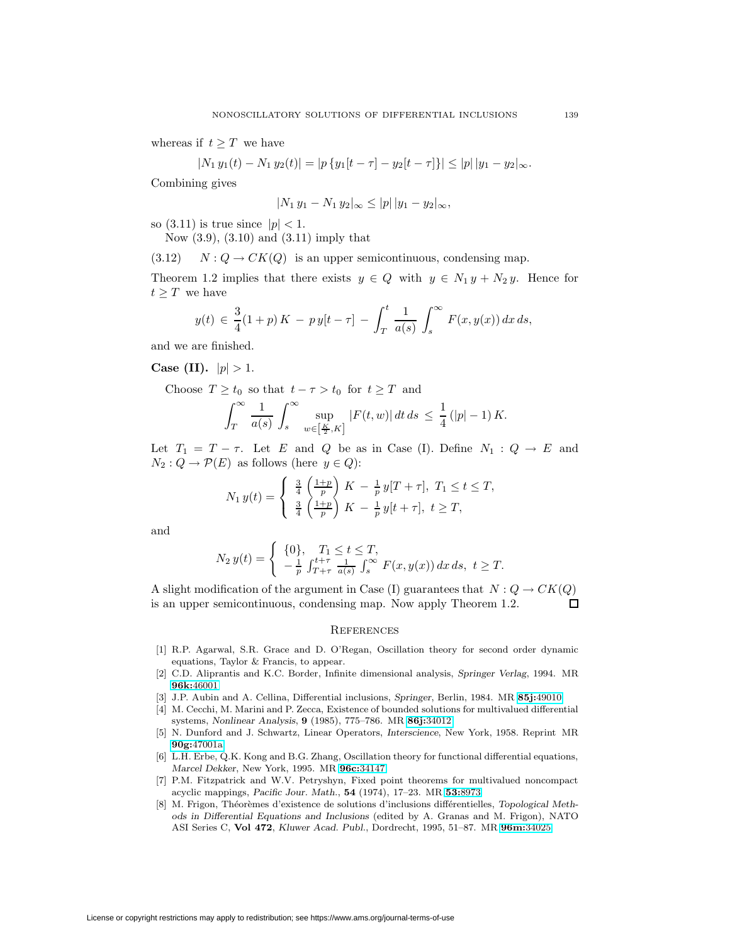whereas if  $t \geq T$  we have

$$
|N_1 y_1(t) - N_1 y_2(t)| = |p \{y_1[t - \tau] - y_2[t - \tau] \}| \le |p| \, |y_1 - y_2| \, \infty.
$$

Combining gives

$$
|N_1 y_1 - N_1 y_2|_{\infty} \le |p| |y_1 - y_2|_{\infty},
$$

so  $(3.11)$  is true since  $|p| < 1$ .

Now (3.9), (3.10) and (3.11) imply that

 $(3.12)$   $N: Q \to CK(Q)$  is an upper semicontinuous, condensing map.

Theorem 1.2 implies that there exists  $y \in Q$  with  $y \in N_1 y + N_2 y$ . Hence for  $t \geq T$  we have

$$
y(t) \in \frac{3}{4}(1+p) K - p y[t-\tau] - \int_{T}^{t} \frac{1}{a(s)} \int_{s}^{\infty} F(x, y(x)) dx ds,
$$

and we are finished.

**Case (II).**  $|p| > 1$ .

Choose  $T \ge t_0$  so that  $t - \tau > t_0$  for  $t \ge T$  and

$$
\int_T^{\infty} \frac{1}{a(s)} \int_s^{\infty} \sup_{w \in \left[\frac{K}{2}, K\right]} |F(t, w)| dt ds \leq \frac{1}{4} (|p| - 1) K.
$$

Let  $T_1 = T - \tau$ . Let E and Q be as in Case (I). Define  $N_1 : Q \to E$  and  $N_2: Q \to \mathcal{P}(E)$  as follows (here  $y \in Q$ ):

$$
N_1 y(t) = \begin{cases} \frac{3}{4} \left( \frac{1+p}{p} \right) K - \frac{1}{p} y[T + \tau], \ T_1 \le t \le T, \\ \frac{3}{4} \left( \frac{1+p}{p} \right) K - \frac{1}{p} y[t + \tau], \ t \ge T, \end{cases}
$$

and

$$
N_2 y(t) = \begin{cases} \{0\}, & T_1 \le t \le T, \\ -\frac{1}{p} \int_{T+\tau}^{t+\tau} \frac{1}{a(s)} \int_s^{\infty} F(x, y(x)) dx ds, & t \ge T. \end{cases}
$$

A slight modification of the argument in Case (I) guarantees that  $N: Q \to CK(Q)$ is an upper semicontinuous, condensing map. Now apply Theorem 1.2.  $\Box$ 

#### **REFERENCES**

- <span id="page-10-0"></span>[1] R.P. Agarwal, S.R. Grace and D. O'Regan, Oscillation theory for second order dynamic equations, Taylor & Francis, to appear.
- <span id="page-10-2"></span>[2] C.D. Aliprantis and K.C. Border, Infinite dimensional analysis, *Springer Verlag*, 1994. MR **96k:**[46001](http://www.ams.org/mathscinet-getitem?mr=96k:46001)
- <span id="page-10-7"></span><span id="page-10-6"></span>[3] J.P. Aubin and A. Cellina, Differential inclusions, *Springer*, Berlin, 1984. MR **85j:**[49010](http://www.ams.org/mathscinet-getitem?mr=85j:49010)
- [4] M. Cecchi, M. Marini and P. Zecca, Existence of bounded solutions for multivalued differential systems, *Nonlinear Analysis*, **9** (1985), 775–786. MR **86j:**[34012](http://www.ams.org/mathscinet-getitem?mr=86j:34012)
- <span id="page-10-5"></span>[5] N. Dunford and J. Schwartz, Linear Operators, *Interscience*, New York, 1958. Reprint MR **90g:**[47001a](http://www.ams.org/mathscinet-getitem?mr=90g:47001a)
- <span id="page-10-1"></span>[6] L.H. Erbe, Q.K. Kong and B.G. Zhang, Oscillation theory for functional differential equations, *Marcel Dekker*, New York, 1995. MR **96c:**[34147](http://www.ams.org/mathscinet-getitem?mr=96c:34147)
- <span id="page-10-4"></span>[7] P.M. Fitzpatrick and W.V. Petryshyn, Fixed point theorems for multivalued noncompact acyclic mappings, *Pacific Jour. Math*., **54** (1974), 17–23. MR **53:**[8973](http://www.ams.org/mathscinet-getitem?mr=53:8973)
- <span id="page-10-3"></span>[8] M. Frigon, Théorèmes d'existence de solutions d'inclusions différentielles, *Topological Methods in Differential Equations and Inclusions* (edited by A. Granas and M. Frigon), NATO ASI Series C, **Vol 472**, *Kluwer Acad. Publ.*, Dordrecht, 1995, 51–87. MR **96m:**[34025](http://www.ams.org/mathscinet-getitem?mr=96m:34025)

License or copyright restrictions may apply to redistribution; see https://www.ams.org/journal-terms-of-use